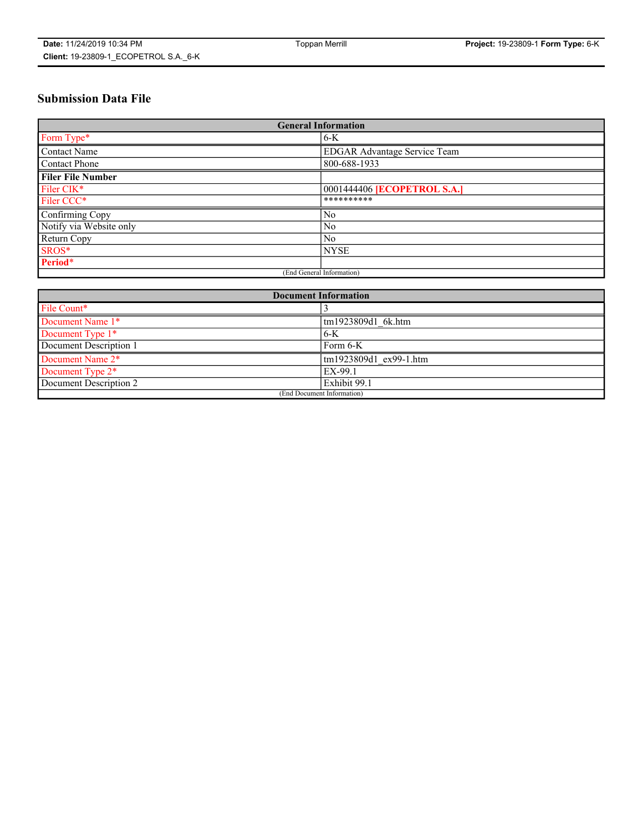# **Submission Data File**

| <b>General Information</b> |                                    |
|----------------------------|------------------------------------|
| Form Type*                 | $6-K$                              |
| Contact Name               | EDGAR Advantage Service Team       |
| Contact Phone              | 800-688-1933                       |
| <b>Filer File Number</b>   |                                    |
| Filer CIK*                 | 0001444406 <b>[ECOPETROL S.A.]</b> |
| Filer CCC*                 | **********                         |
| Confirming Copy            | N <sub>0</sub>                     |
| Notify via Website only    | N <sub>0</sub>                     |
| Return Copy                | N <sub>0</sub>                     |
| SROS*                      | <b>NYSE</b>                        |
| Period*                    |                                    |
| (End General Information)  |                                    |

| <b>Document Information</b> |                        |
|-----------------------------|------------------------|
| File Count*                 |                        |
| Document Name 1*            | tm1923809d1 6k.htm     |
| Document Type 1*            | $6-K$                  |
| Document Description 1      | Form 6-K               |
| Document Name 2*            | tm1923809d1 ex99-1.htm |
| Document Type 2*            | EX-99.1                |
| Document Description 2      | Exhibit 99.1           |
| (End Document Information)  |                        |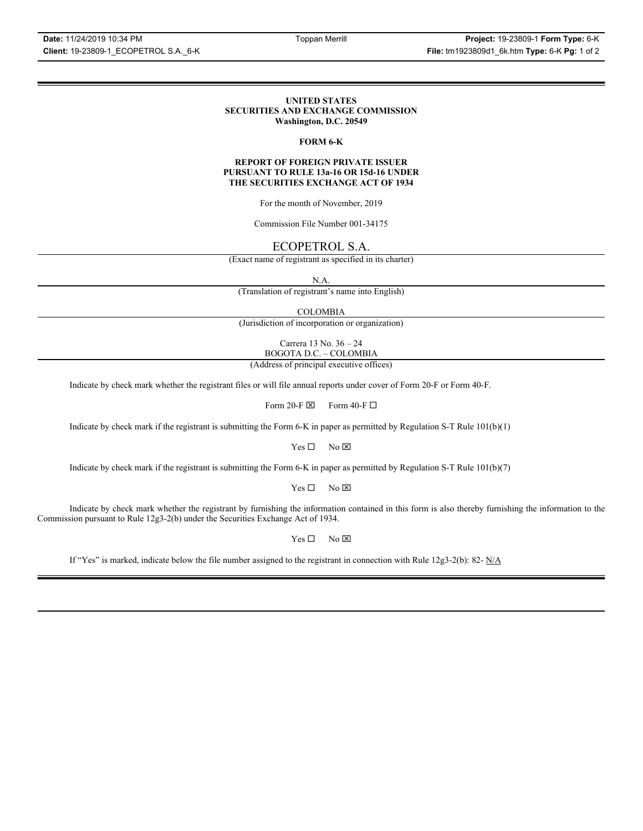#### **UNITED STATES SECURITIES AND EXCHANGE COMMISSION Washington, D.C. 20549**

### **FORM 6-K**

#### **REPORT OF FOREIGN PRIVATE ISSUER PURSUANT TO RULE 13a-16 OR 15d-16 UNDER THE SECURITIES EXCHANGE ACT OF 1934**

For the month of November, 2019

Commission File Number 001-34175

# ECOPETROL S.A.

(Exact name of registrant as specified in its charter)

N.A.

(Translation of registrant's name into English)

COLOMBIA

(Jurisdiction of incorporation or organization)

Carrera 13 No. 36 – 24 BOGOTA D.C. – COLOMBIA

(Address of principal executive offices)

Indicate by check mark whether the registrant files or will file annual reports under cover of Form 20-F or Form 40-F.

Form 20-F  $\boxtimes$  Form 40-F  $\Box$ 

Indicate by check mark if the registrant is submitting the Form 6-K in paper as permitted by Regulation S-T Rule 101(b)(1)

 $Yes \Box$  No  $\boxtimes$ 

Indicate by check mark if the registrant is submitting the Form 6-K in paper as permitted by Regulation S-T Rule 101(b)(7)

 $Yes \Box$  No  $\boxtimes$ 

Indicate by check mark whether the registrant by furnishing the information contained in this form is also thereby furnishing the information to the Commission pursuant to Rule 12g3-2(b) under the Securities Exchange Act of 1934.

 $Yes \Box$  No  $\boxtimes$ 

If "Yes" is marked, indicate below the file number assigned to the registrant in connection with Rule 12g3-2(b): 82- N/A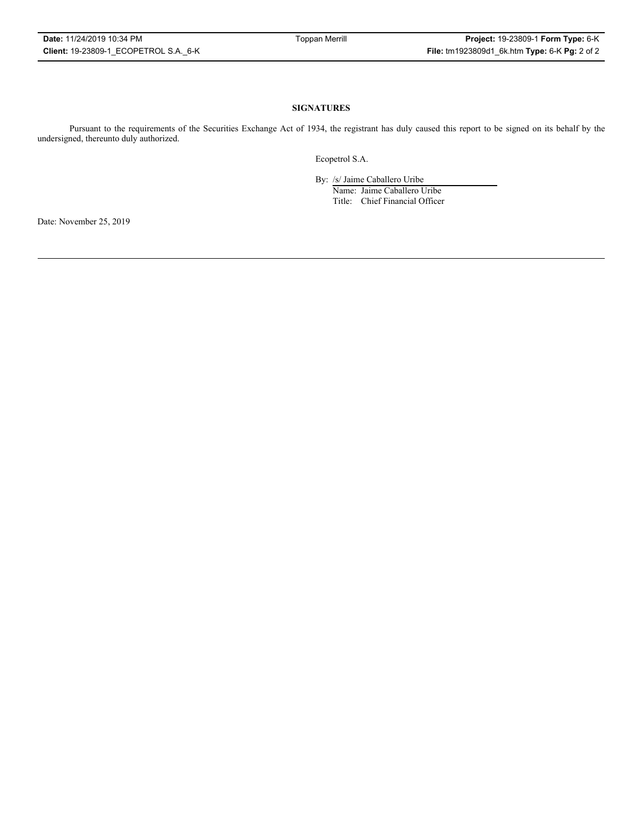#### **SIGNATURES**

Pursuant to the requirements of the Securities Exchange Act of 1934, the registrant has duly caused this report to be signed on its behalf by the undersigned, thereunto duly authorized.

Ecopetrol S.A.

By: /s/ Jaime Caballero Uribe

Name: Jaime Caballero Uribe Title: Chief Financial Officer

Date: November 25, 2019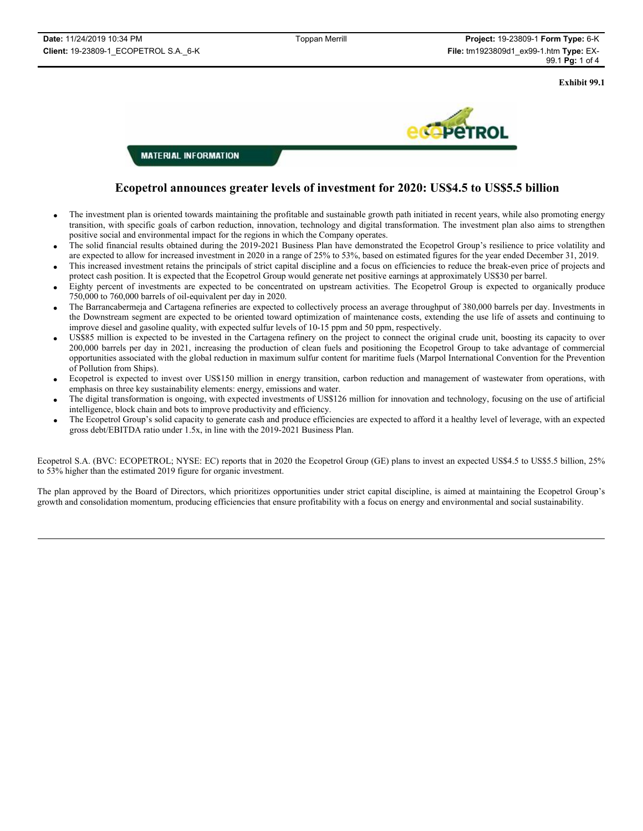**Exhibit 99.1**



**MATERIAL INFORMATION** 

# **Ecopetrol announces greater levels of investment for 2020: US\$4.5 to US\$5.5 billion**

- The investment plan is oriented towards maintaining the profitable and sustainable growth path initiated in recent years, while also promoting energy transition, with specific goals of carbon reduction, innovation, technology and digital transformation. The investment plan also aims to strengthen positive social and environmental impact for the regions in which the Company operates.
- The solid financial results obtained during the 2019-2021 Business Plan have demonstrated the Ecopetrol Group's resilience to price volatility and are expected to allow for increased investment in 2020 in a range of 25% to 53%, based on estimated figures for the year ended December 31, 2019.
- This increased investment retains the principals of strict capital discipline and a focus on efficiencies to reduce the break-even price of projects and protect cash position. It is expected that the Ecopetrol Group would generate net positive earnings at approximately US\$30 per barrel.
- x Eighty percent of investments are expected to be concentrated on upstream activities. The Ecopetrol Group is expected to organically produce 750,000 to 760,000 barrels of oil-equivalent per day in 2020.
- x The Barrancabermeja and Cartagena refineries are expected to collectively process an average throughput of 380,000 barrels per day. Investments in the Downstream segment are expected to be oriented toward optimization of maintenance costs, extending the use life of assets and continuing to improve diesel and gasoline quality, with expected sulfur levels of 10-15 ppm and 50 ppm, respectively.
- x US\$85 million is expected to be invested in the Cartagena refinery on the project to connect the original crude unit, boosting its capacity to over 200,000 barrels per day in 2021, increasing the production of clean fuels and positioning the Ecopetrol Group to take advantage of commercial opportunities associated with the global reduction in maximum sulfur content for maritime fuels (Marpol International Convention for the Prevention of Pollution from Ships).
- Ecopetrol is expected to invest over US\$150 million in energy transition, carbon reduction and management of wastewater from operations, with emphasis on three key sustainability elements: energy, emissions and water.
- The digital transformation is ongoing, with expected investments of US\$126 million for innovation and technology, focusing on the use of artificial intelligence, block chain and bots to improve productivity and efficiency.
- x The Ecopetrol Group's solid capacity to generate cash and produce efficiencies are expected to afford it a healthy level of leverage, with an expected gross debt/EBITDA ratio under 1.5x, in line with the 2019-2021 Business Plan.

Ecopetrol S.A. (BVC: ECOPETROL; NYSE: EC) reports that in 2020 the Ecopetrol Group (GE) plans to invest an expected US\$4.5 to US\$5.5 billion, 25% to 53% higher than the estimated 2019 figure for organic investment.

The plan approved by the Board of Directors, which prioritizes opportunities under strict capital discipline, is aimed at maintaining the Ecopetrol Group's growth and consolidation momentum, producing efficiencies that ensure profitability with a focus on energy and environmental and social sustainability.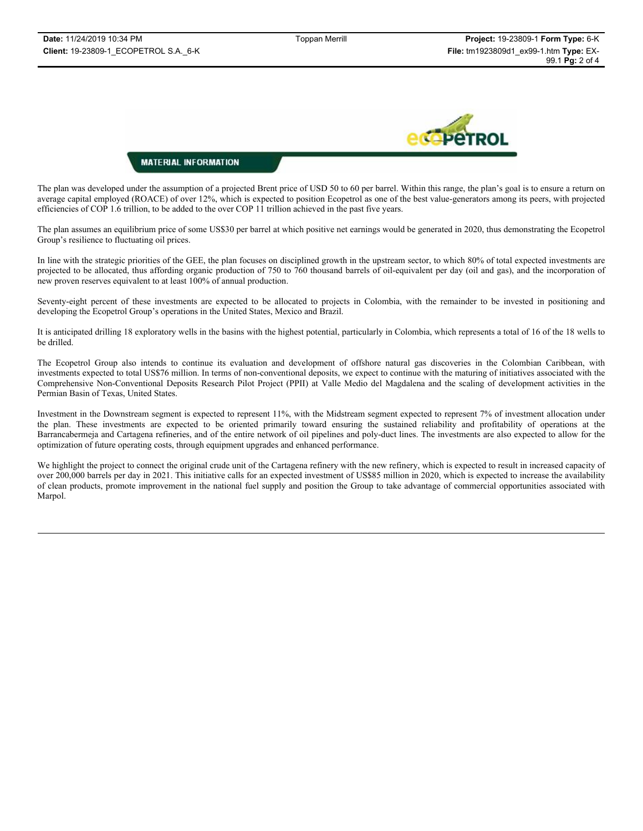

## **MATERIAL INFORMATION**

The plan was developed under the assumption of a projected Brent price of USD 50 to 60 per barrel. Within this range, the plan's goal is to ensure a return on average capital employed (ROACE) of over 12%, which is expected to position Ecopetrol as one of the best value-generators among its peers, with projected efficiencies of COP 1.6 trillion, to be added to the over COP 11 trillion achieved in the past five years.

The plan assumes an equilibrium price of some US\$30 per barrel at which positive net earnings would be generated in 2020, thus demonstrating the Ecopetrol Group's resilience to fluctuating oil prices.

In line with the strategic priorities of the GEE, the plan focuses on disciplined growth in the upstream sector, to which 80% of total expected investments are projected to be allocated, thus affording organic production of 750 to 760 thousand barrels of oil-equivalent per day (oil and gas), and the incorporation of new proven reserves equivalent to at least 100% of annual production.

Seventy-eight percent of these investments are expected to be allocated to projects in Colombia, with the remainder to be invested in positioning and developing the Ecopetrol Group's operations in the United States, Mexico and Brazil.

It is anticipated drilling 18 exploratory wells in the basins with the highest potential, particularly in Colombia, which represents a total of 16 of the 18 wells to be drilled.

The Ecopetrol Group also intends to continue its evaluation and development of offshore natural gas discoveries in the Colombian Caribbean, with investments expected to total US\$76 million. In terms of non-conventional deposits, we expect to continue with the maturing of initiatives associated with the Comprehensive Non-Conventional Deposits Research Pilot Project (PPII) at Valle Medio del Magdalena and the scaling of development activities in the Permian Basin of Texas, United States.

Investment in the Downstream segment is expected to represent 11%, with the Midstream segment expected to represent 7% of investment allocation under the plan. These investments are expected to be oriented primarily toward ensuring the sustained reliability and profitability of operations at the Barrancabermeja and Cartagena refineries, and of the entire network of oil pipelines and poly-duct lines. The investments are also expected to allow for the optimization of future operating costs, through equipment upgrades and enhanced performance.

We highlight the project to connect the original crude unit of the Cartagena refinery with the new refinery, which is expected to result in increased capacity of over 200,000 barrels per day in 2021. This initiative calls for an expected investment of US\$85 million in 2020, which is expected to increase the availability of clean products, promote improvement in the national fuel supply and position the Group to take advantage of commercial opportunities associated with Marpol.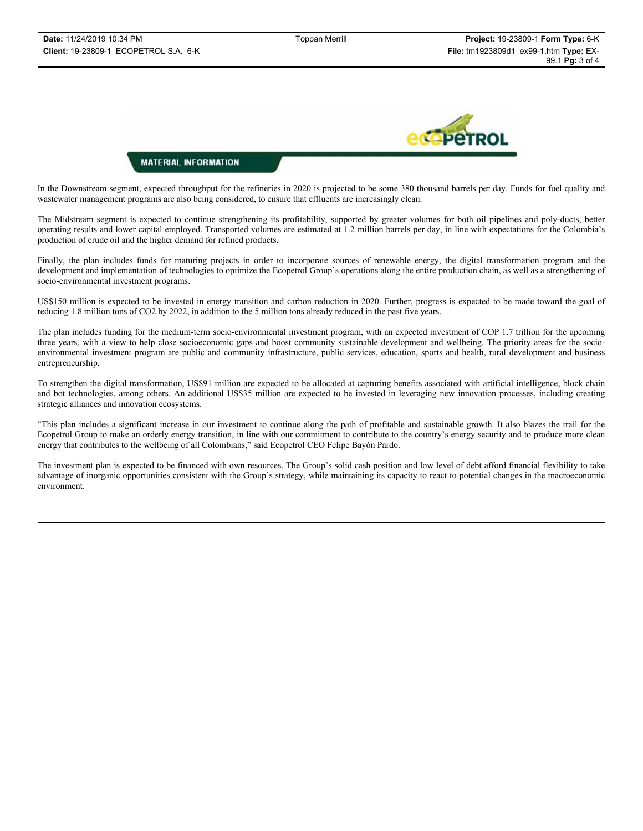

### **MATERIAL INFORMATION**

In the Downstream segment, expected throughput for the refineries in 2020 is projected to be some 380 thousand barrels per day. Funds for fuel quality and wastewater management programs are also being considered, to ensure that effluents are increasingly clean.

The Midstream segment is expected to continue strengthening its profitability, supported by greater volumes for both oil pipelines and poly-ducts, better operating results and lower capital employed. Transported volumes are estimated at 1.2 million barrels per day, in line with expectations for the Colombia's production of crude oil and the higher demand for refined products.

Finally, the plan includes funds for maturing projects in order to incorporate sources of renewable energy, the digital transformation program and the development and implementation of technologies to optimize the Ecopetrol Group's operations along the entire production chain, as well as a strengthening of socio-environmental investment programs.

US\$150 million is expected to be invested in energy transition and carbon reduction in 2020. Further, progress is expected to be made toward the goal of reducing 1.8 million tons of CO2 by 2022, in addition to the 5 million tons already reduced in the past five years.

The plan includes funding for the medium-term socio-environmental investment program, with an expected investment of COP 1.7 trillion for the upcoming three years, with a view to help close socioeconomic gaps and boost community sustainable development and wellbeing. The priority areas for the socioenvironmental investment program are public and community infrastructure, public services, education, sports and health, rural development and business entrepreneurship.

To strengthen the digital transformation, US\$91 million are expected to be allocated at capturing benefits associated with artificial intelligence, block chain and bot technologies, among others. An additional US\$35 million are expected to be invested in leveraging new innovation processes, including creating strategic alliances and innovation ecosystems.

"This plan includes a significant increase in our investment to continue along the path of profitable and sustainable growth. It also blazes the trail for the Ecopetrol Group to make an orderly energy transition, in line with our commitment to contribute to the country's energy security and to produce more clean energy that contributes to the wellbeing of all Colombians," said Ecopetrol CEO Felipe Bayón Pardo.

The investment plan is expected to be financed with own resources. The Group's solid cash position and low level of debt afford financial flexibility to take advantage of inorganic opportunities consistent with the Group's strategy, while maintaining its capacity to react to potential changes in the macroeconomic environment.